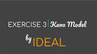## EXERCISE 3 Kano Model

# <sup>By</sup> DEAL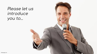## Please let us introduce you to...

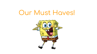## Our Must Haves!

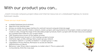### With our product you can...

...match innovate company-project-ideas and internal resources on a databased highway to receive fulminant results.

#### These are our must haves:

- scalable Database (cloud solution)
- Algorithm that matches data
- Access via mobile device (app interface for android/ ios) and computer (internet page)
- Functions: create a profile, create a network, create a project, add requirements to the project, create a project group, create an idea, change the stage of the idea (idea-project-product), match a project with the best resources available (e.g. possible team mates for your project team)
- User Questionnaire as part of the register process
- Project Questionnaire as part of the creating a project process
- Interfaces: login, profile, settings, feed, project groups, network
- Correlation: network <-> profile correlation <-> project group <-> idea
- Legal Basics: Privacy Policies, Permission to access all relevant data/functions on device
- Behaviour rules: 1. Every idea is awesome, no matter what. 2. This is a place with no boundaries, think the crazy way!

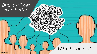#### But, it will get even better!

With the help of ...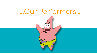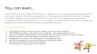#### You can even...

… decide what you want to see! With the help of our algorithm you can get personalized content that fits exactly your interests , this will increase the chance of finding even more efficient matches! The bigger your network becomes and the more interactions you have the more intelligent the system will be. … extend your network and the dimension of your projects - no boundaries! Connect with colleagues and people from all around the world and built up a growing community.

#### These are our performers:

- The possibility to assign an idea to a certain category, to view only certain categories
- "IDEA TINDER": swipe right = "support/like" function, swipe left = "don't support/dislike" function
- Settings for the idea's target group (only intercompany/ share with other networks/ share with everybody)
- Displaying of history and current stage of an idea (idea-project-product)
- Message function to interact with other people in a network/project group
- Add further requirements to a project (e.g. Ressources: people, time, money)
- Evaluation form:At the end of the project, evaluate it! This will improve the data quality for future matches.

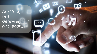And last, but definitely<br>not least...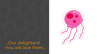

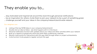#### They enable you to...

… stay motivated and inspired all around the clock through personal notifications … be an inspiration for others. Invite them to join your network to be a part of something great. … challenge yourself and your ideas in the company/network/world-wide network

#### Our delighters are:

- Listing of the top 10/100 ideas in your company/network/world
- Double click an idea to follow see what happens with it in the future
- Personal notification function with updates about your ideas and other activities within your network
- Built up a network of people who share the same ideas, preferences, interests
- Receive credit points for interactions with this app, likes through others or project achievements.
- Invite function: Invite people to register and join the app!